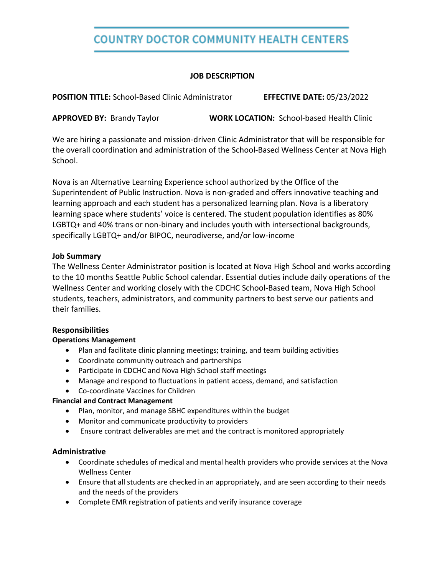# **COUNTRY DOCTOR COMMUNITY HEALTH CENTERS**

### **JOB DESCRIPTION**

**POSITION TITLE:** School-Based Clinic Administrator **EFFECTIVE DATE:** 05/23/2022

**APPROVED BY:** Brandy Taylor **WORK LOCATION:** School-based Health Clinic

We are hiring a passionate and mission-driven Clinic Administrator that will be responsible for the overall coordination and administration of the School-Based Wellness Center at Nova High School.

Nova is an Alternative Learning Experience school authorized by the Office of the Superintendent of Public Instruction. Nova is non-graded and offers innovative teaching and learning approach and each student has a personalized learning plan. Nova is a liberatory learning space where students' voice is centered. The student population identifies as 80% LGBTQ+ and 40% trans or non-binary and includes youth with intersectional backgrounds, specifically LGBTQ+ and/or BIPOC, neurodiverse, and/or low-income

### **Job Summary**

The Wellness Center Administrator position is located at Nova High School and works according to the 10 months Seattle Public School calendar. Essential duties include daily operations of the Wellness Center and working closely with the CDCHC School-Based team, Nova High School students, teachers, administrators, and community partners to best serve our patients and their families.

#### **Responsibilities**

#### **Operations Management**

- Plan and facilitate clinic planning meetings; training, and team building activities
- Coordinate community outreach and partnerships
- Participate in CDCHC and Nova High School staff meetings
- Manage and respond to fluctuations in patient access, demand, and satisfaction
- Co-coordinate Vaccines for Children

#### **Financial and Contract Management**

- Plan, monitor, and manage SBHC expenditures within the budget
- Monitor and communicate productivity to providers
- Ensure contract deliverables are met and the contract is monitored appropriately

#### **Administrative**

- Coordinate schedules of medical and mental health providers who provide services at the Nova Wellness Center
- Ensure that all students are checked in an appropriately, and are seen according to their needs and the needs of the providers
- Complete EMR registration of patients and verify insurance coverage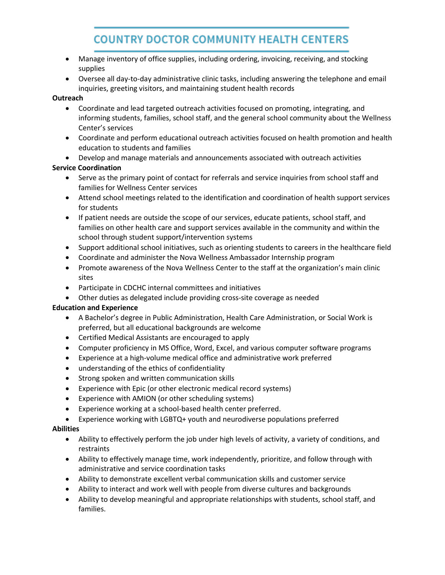# **COUNTRY DOCTOR COMMUNITY HEALTH CENTERS**

- Manage inventory of office supplies, including ordering, invoicing, receiving, and stocking supplies
- Oversee all day-to-day administrative clinic tasks, including answering the telephone and email inquiries, greeting visitors, and maintaining student health records

#### **Outreach**

- Coordinate and lead targeted outreach activities focused on promoting, integrating, and informing students, families, school staff, and the general school community about the Wellness Center's services
- Coordinate and perform educational outreach activities focused on health promotion and health education to students and families
- Develop and manage materials and announcements associated with outreach activities

#### **Service Coordination**

- Serve as the primary point of contact for referrals and service inquiries from school staff and families for Wellness Center services
- Attend school meetings related to the identification and coordination of health support services for students
- If patient needs are outside the scope of our services, educate patients, school staff, and families on other health care and support services available in the community and within the school through student support/intervention systems
- Support additional school initiatives, such as orienting students to careers in the healthcare field
- Coordinate and administer the Nova Wellness Ambassador Internship program
- Promote awareness of the Nova Wellness Center to the staff at the organization's main clinic sites
- Participate in CDCHC internal committees and initiatives
- Other duties as delegated include providing cross-site coverage as needed

#### **Education and Experience**

- A Bachelor's degree in Public Administration, Health Care Administration, or Social Work is preferred, but all educational backgrounds are welcome
- Certified Medical Assistants are encouraged to apply
- Computer proficiency in MS Office, Word, Excel, and various computer software programs
- Experience at a high-volume medical office and administrative work preferred
- understanding of the ethics of confidentiality
- Strong spoken and written communication skills
- Experience with Epic (or other electronic medical record systems)
- Experience with AMION (or other scheduling systems)
- Experience working at a school-based health center preferred.
- Experience working with LGBTQ+ youth and neurodiverse populations preferred

#### **Abilities**

- Ability to effectively perform the job under high levels of activity, a variety of conditions, and restraints
- Ability to effectively manage time, work independently, prioritize, and follow through with administrative and service coordination tasks
- Ability to demonstrate excellent verbal communication skills and customer service
- Ability to interact and work well with people from diverse cultures and backgrounds
- Ability to develop meaningful and appropriate relationships with students, school staff, and families.